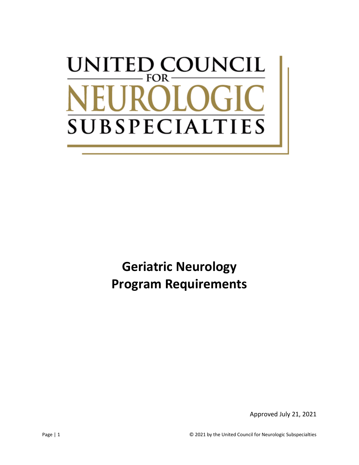# UNCIL UNITED C  $\blacksquare$ **FOR SUBSPECIAL** IES

**Geriatric Neurology Program Requirements**

Approved July 21, 2021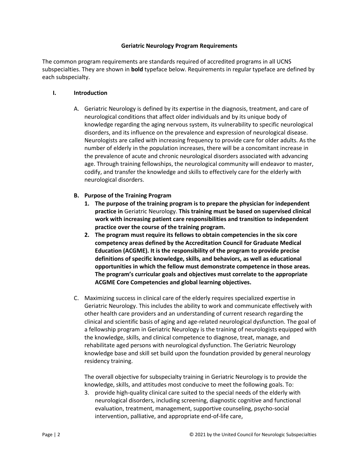#### **Geriatric Neurology Program Requirements**

The common program requirements are standards required of accredited programs in all UCNS subspecialties. They are shown in **bold** typeface below. Requirements in regular typeface are defined by each subspecialty.

#### **I. Introduction**

A. Geriatric Neurology is defined by its expertise in the diagnosis, treatment, and care of neurological conditions that affect older individuals and by its unique body of knowledge regarding the aging nervous system, its vulnerability to specific neurological disorders, and its influence on the prevalence and expression of neurological disease. Neurologists are called with increasing frequency to provide care for older adults. As the number of elderly in the population increases, there will be a concomitant increase in the prevalence of acute and chronic neurological disorders associated with advancing age. Through training fellowships, the neurological community will endeavor to master, codify, and transfer the knowledge and skills to effectively care for the elderly with neurological disorders.

### **B. Purpose of the Training Program**

- **1. The purpose of the training program is to prepare the physician for independent practice in** Geriatric Neurology. **This training must be based on supervised clinical work with increasing patient care responsibilities and transition to independent practice over the course of the training program.**
- **2. The program must require its fellows to obtain competencies in the six core competency areas defined by the Accreditation Council for Graduate Medical Education (ACGME). It is the responsibility of the program to provide precise definitions of specific knowledge, skills, and behaviors, as well as educational opportunities in which the fellow must demonstrate competence in those areas. The program's curricular goals and objectives must correlate to the appropriate ACGME Core Competencies and global learning objectives.**
- C. Maximizing success in clinical care of the elderly requires specialized expertise in Geriatric Neurology. This includes the ability to work and communicate effectively with other health care providers and an understanding of current research regarding the clinical and scientific basis of aging and age-related neurological dysfunction. The goal of a fellowship program in Geriatric Neurology is the training of neurologists equipped with the knowledge, skills, and clinical competence to diagnose, treat, manage, and rehabilitate aged persons with neurological dysfunction. The Geriatric Neurology knowledge base and skill set build upon the foundation provided by general neurology residency training.

The overall objective for subspecialty training in Geriatric Neurology is to provide the knowledge, skills, and attitudes most conducive to meet the following goals. To:

3. provide high-quality clinical care suited to the special needs of the elderly with neurological disorders, including screening, diagnostic cognitive and functional evaluation, treatment, management, supportive counseling, psycho-social intervention, palliative, and appropriate end-of-life care,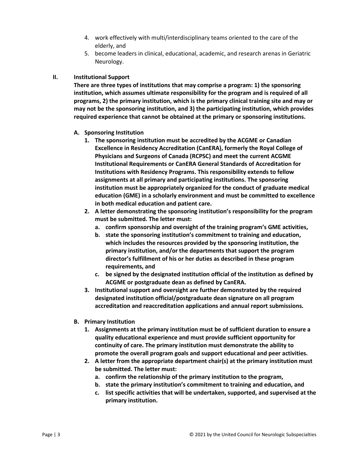- 4. work effectively with multi/interdisciplinary teams oriented to the care of the elderly, and
- 5. become leaders in clinical, educational, academic, and research arenas in Geriatric Neurology.

## **II. Institutional Support**

**There are three types of institutions that may comprise a program: 1) the sponsoring institution, which assumes ultimate responsibility for the program and is required of all programs, 2) the primary institution, which is the primary clinical training site and may or may not be the sponsoring institution, and 3) the participating institution, which provides required experience that cannot be obtained at the primary or sponsoring institutions.**

- **A. Sponsoring Institution**
	- **1. The sponsoring institution must be accredited by the ACGME or Canadian Excellence in Residency Accreditation (CanERA), formerly the Royal College of Physicians and Surgeons of Canada (RCPSC) and meet the current ACGME Institutional Requirements or CanERA General Standards of Accreditation for Institutions with Residency Programs. This responsibility extends to fellow assignments at all primary and participating institutions. The sponsoring institution must be appropriately organized for the conduct of graduate medical education (GME) in a scholarly environment and must be committed to excellence in both medical education and patient care.**
	- **2. A letter demonstrating the sponsoring institution's responsibility for the program must be submitted. The letter must:**
		- **a. confirm sponsorship and oversight of the training program's GME activities,**
		- **b. state the sponsoring institution's commitment to training and education, which includes the resources provided by the sponsoring institution, the primary institution, and/or the departments that support the program director's fulfillment of his or her duties as described in these program requirements, and**
		- **c. be signed by the designated institution official of the institution as defined by ACGME or postgraduate dean as defined by CanERA.**
	- **3. Institutional support and oversight are further demonstrated by the required designated institution official/postgraduate dean signature on all program accreditation and reaccreditation applications and annual report submissions.**
- **B. Primary Institution**
	- **1. Assignments at the primary institution must be of sufficient duration to ensure a quality educational experience and must provide sufficient opportunity for continuity of care. The primary institution must demonstrate the ability to promote the overall program goals and support educational and peer activities.**
	- **2. A letter from the appropriate department chair(s) at the primary institution must be submitted. The letter must:**
		- **a. confirm the relationship of the primary institution to the program,**
		- **b. state the primary institution's commitment to training and education, and**
		- **c. list specific activities that will be undertaken, supported, and supervised at the primary institution.**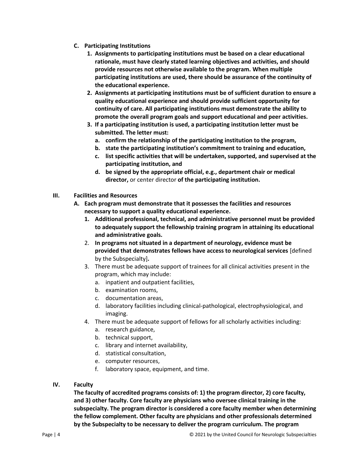- **C. Participating Institutions**
	- **1. Assignments to participating institutions must be based on a clear educational rationale, must have clearly stated learning objectives and activities, and should provide resources not otherwise available to the program. When multiple participating institutions are used, there should be assurance of the continuity of the educational experience.**
	- **2. Assignments at participating institutions must be of sufficient duration to ensure a quality educational experience and should provide sufficient opportunity for continuity of care. All participating institutions must demonstrate the ability to promote the overall program goals and support educational and peer activities.**
	- **3. If a participating institution is used, a participating institution letter must be submitted. The letter must:**
		- **a. confirm the relationship of the participating institution to the program,**
		- **b. state the participating institution's commitment to training and education,**
		- **c. list specific activities that will be undertaken, supported, and supervised at the participating institution, and**
		- **d. be signed by the appropriate official, e.g., department chair or medical director,** or center director **of the participating institution.**
- **III. Facilities and Resources**
	- **A. Each program must demonstrate that it possesses the facilities and resources necessary to support a quality educational experience.**
		- **1. Additional professional, technical, and administrative personnel must be provided to adequately support the fellowship training program in attaining its educational and administrative goals.**
		- 2. **In programs not situated in a department of neurology, evidence must be provided that demonstrates fellows have access to neurological services** [defined by the Subspecialty]**.**
		- 3. There must be adequate support of trainees for all clinical activities present in the program, which may include:
			- a. inpatient and outpatient facilities,
			- b. examination rooms,
			- c. documentation areas,
			- d. laboratory facilities including clinical-pathological, electrophysiological, and imaging.
		- 4. There must be adequate support of fellows for all scholarly activities including:
			- a. research guidance,
			- b. technical support,
			- c. library and internet availability,
			- d. statistical consultation,
			- e. computer resources,
			- f. laboratory space, equipment, and time.
- **IV. Faculty**

**The faculty of accredited programs consists of: 1) the program director, 2) core faculty, and 3) other faculty. Core faculty are physicians who oversee clinical training in the subspecialty. The program director is considered a core faculty member when determining the fellow complement. Other faculty are physicians and other professionals determined by the Subspecialty to be necessary to deliver the program curriculum. The program**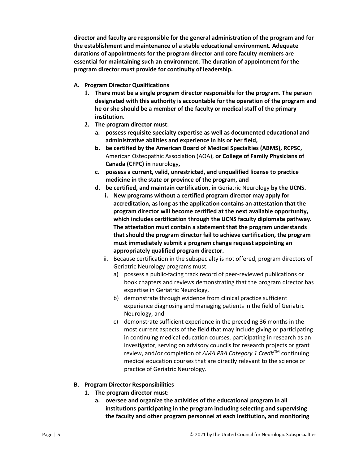**director and faculty are responsible for the general administration of the program and for the establishment and maintenance of a stable educational environment. Adequate durations of appointments for the program director and core faculty members are essential for maintaining such an environment. The duration of appointment for the program director must provide for continuity of leadership.**

- **A. Program Director Qualifications**
	- **1. There must be a single program director responsible for the program. The person designated with this authority is accountable for the operation of the program and he or she should be a member of the faculty or medical staff of the primary institution.**
	- **2. The program director must:**
		- **a. possess requisite specialty expertise as well as documented educational and administrative abilities and experience in his or her field,**
		- **b. be certified by the American Board of Medical Specialties (ABMS), RCPSC,** American Osteopathic Association (AOA), **or College of Family Physicians of Canada (CFPC) in** neurology**,**
		- **c. possess a current, valid, unrestricted, and unqualified license to practice medicine in the state or province of the program, and**
		- **d. be certified, and maintain certification, in** Geriatric Neurology **by the UCNS.**
			- **i. New programs without a certified program director may apply for accreditation, as long as the application contains an attestation that the program director will become certified at the next available opportunity, which includes certification through the UCNS faculty diplomate pathway. The attestation must contain a statement that the program understands that should the program director fail to achieve certification, the program must immediately submit a program change request appointing an appropriately qualified program director.**
			- ii. Because certification in the subspecialty is not offered, program directors of Geriatric Neurology programs must:
				- a) possess a public-facing track record of peer-reviewed publications or book chapters and reviews demonstrating that the program director has expertise in Geriatric Neurology,
				- b) demonstrate through evidence from clinical practice sufficient experience diagnosing and managing patients in the field of Geriatric Neurology, and
				- c) demonstrate sufficient experience in the preceding 36 months in the most current aspects of the field that may include giving or participating in continuing medical education courses, participating in research as an investigator, serving on advisory councils for research projects or grant review, and/or completion of *AMA PRA Category 1 Credit*TM continuing medical education courses that are directly relevant to the science or practice of Geriatric Neurology.
- **B. Program Director Responsibilities**
	- **1. The program director must:**
		- **a. oversee and organize the activities of the educational program in all institutions participating in the program including selecting and supervising the faculty and other program personnel at each institution, and monitoring**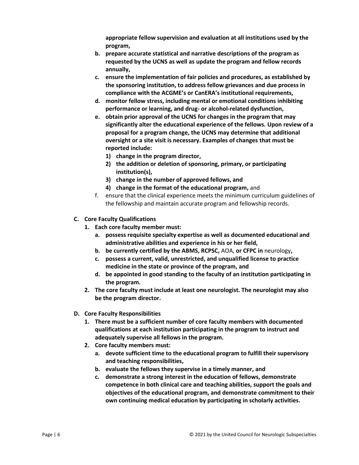**appropriate fellow supervision and evaluation at all institutions used by the program,**

- **b. prepare accurate statistical and narrative descriptions of the program as requested by the UCNS as well as update the program and fellow records annually,**
- **c. ensure the implementation of fair policies and procedures, as established by the sponsoring institution, to address fellow grievances and due process in compliance with the ACGME's or CanERA's institutional requirements,**
- **d. monitor fellow stress, including mental or emotional conditions inhibiting performance or learning, and drug- or alcohol-related dysfunction,**
- **e. obtain prior approval of the UCNS for changes in the program that may significantly alter the educational experience of the fellows. Upon review of a proposal for a program change, the UCNS may determine that additional oversight or a site visit is necessary. Examples of changes that must be reported include:**
	- **1) change in the program director,**
	- **2) the addition or deletion of sponsoring, primary, or participating institution(s),**
	- **3) change in the number of approved fellows, and**
	- **4) change in the format of the educational program,** and
- f. ensure that the clinical experience meets the minimum curriculum guidelines of the fellowship and maintain accurate program and fellowship records.
- **C. Core Faculty Qualifications**
	- **1. Each core faculty member must:** 
		- **a. possess requisite specialty expertise as well as documented educational and administrative abilities and experience in his or her field,**
		- **b. be currently certified by the ABMS, RCPSC,** AOA, **or CFPC in** neurology**,**
		- **c. possess a current, valid, unrestricted, and unqualified license to practice medicine in the state or province of the program, and**
		- **d. be appointed in good standing to the faculty of an institution participating in the program.**
	- **2. The core faculty must include at least one neurologist. The neurologist may also be the program director.**
- **D. Core Faculty Responsibilities**
	- **1. There must be a sufficient number of core faculty members with documented qualifications at each institution participating in the program to instruct and adequately supervise all fellows in the program.**
	- **2. Core faculty members must:**
		- **a. devote sufficient time to the educational program to fulfill their supervisory and teaching responsibilities,**
		- **b. evaluate the fellows they supervise in a timely manner, and**
		- **c. demonstrate a strong interest in the education of fellows, demonstrate competence in both clinical care and teaching abilities, support the goals and objectives of the educational program, and demonstrate commitment to their own continuing medical education by participating in scholarly activities.**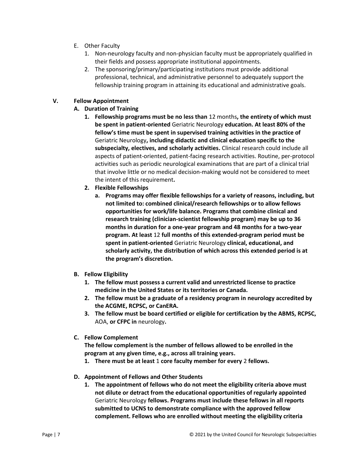- E. Other Faculty
	- 1. Non-neurology faculty and non-physician faculty must be appropriately qualified in their fields and possess appropriate institutional appointments.
	- 2. The sponsoring/primary/participating institutions must provide additional professional, technical, and administrative personnel to adequately support the fellowship training program in attaining its educational and administrative goals.

# **V. Fellow Appointment**

# **A. Duration of Training**

- **1. Fellowship programs must be no less than** 12 months**, the entirety of which must be spent in patient-oriented** Geriatric Neurology **education. At least 80% of the fellow's time must be spent in supervised training activities in the practice of**  Geriatric Neurology**, including didactic and clinical education specific to the subspecialty, electives, and scholarly activities.** Clinical research could include all aspects of patient-oriented, patient-facing research activities. Routine, per-protocol activities such as periodic neurological examinations that are part of a clinical trial that involve little or no medical decision-making would not be considered to meet the intent of this requirement**.**
- **2. Flexible Fellowships**
	- **a. Programs may offer flexible fellowships for a variety of reasons, including, but not limited to: combined clinical/research fellowships or to allow fellows opportunities for work/life balance. Programs that combine clinical and research training (clinician-scientist fellowship program) may be up to 36 months in duration for a one-year program and 48 months for a two-year program. At least** 12 **full months of this extended-program period must be spent in patient-oriented** Geriatric Neurology **clinical, educational, and scholarly activity, the distribution of which across this extended period is at the program's discretion.**
- **B. Fellow Eligibility**
	- **1. The fellow must possess a current valid and unrestricted license to practice medicine in the United States or its territories or Canada.**
	- **2. The fellow must be a graduate of a residency program in neurology accredited by the ACGME, RCPSC, or CanERA.**
	- **3. The fellow must be board certified or eligible for certification by the ABMS, RCPSC,**  AOA, **or CFPC in** neurology**.**
- **C. Fellow Complement**

**The fellow complement is the number of fellows allowed to be enrolled in the program at any given time, e.g., across all training years.** 

- **1. There must be at least** 1 **core faculty member for every** 2 **fellows.**
- **D. Appointment of Fellows and Other Students**
	- **1. The appointment of fellows who do not meet the eligibility criteria above must not dilute or detract from the educational opportunities of regularly appointed**  Geriatric Neurology **fellows. Programs must include these fellows in all reports submitted to UCNS to demonstrate compliance with the approved fellow complement. Fellows who are enrolled without meeting the eligibility criteria**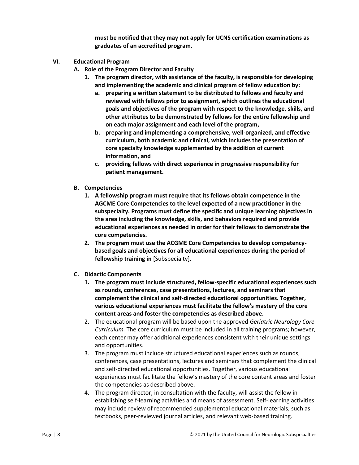**must be notified that they may not apply for UCNS certification examinations as graduates of an accredited program.**

- **VI. Educational Program**
	- **A. Role of the Program Director and Faculty**
		- **1. The program director, with assistance of the faculty, is responsible for developing and implementing the academic and clinical program of fellow education by:**
			- **a. preparing a written statement to be distributed to fellows and faculty and reviewed with fellows prior to assignment, which outlines the educational goals and objectives of the program with respect to the knowledge, skills, and other attributes to be demonstrated by fellows for the entire fellowship and on each major assignment and each level of the program,**
			- **b. preparing and implementing a comprehensive, well-organized, and effective curriculum, both academic and clinical, which includes the presentation of core specialty knowledge supplemented by the addition of current information, and**
			- **c. providing fellows with direct experience in progressive responsibility for patient management.**
	- **B. Competencies**
		- **1. A fellowship program must require that its fellows obtain competence in the AGCME Core Competencies to the level expected of a new practitioner in the subspecialty. Programs must define the specific and unique learning objectives in the area including the knowledge, skills, and behaviors required and provide educational experiences as needed in order for their fellows to demonstrate the core competencies.**
		- **2. The program must use the ACGME Core Competencies to develop competencybased goals and objectives for all educational experiences during the period of fellowship training in** [Subspecialty]**.**
	- **C. Didactic Components**
		- **1. The program must include structured, fellow-specific educational experiences such as rounds, conferences, case presentations, lectures, and seminars that complement the clinical and self-directed educational opportunities. Together, various educational experiences must facilitate the fellow's mastery of the core content areas and foster the competencies as described above.**
		- 2. The educational program will be based upon the approved *Geriatric Neurology Core Curriculum.* The core curriculum must be included in all training programs; however, each center may offer additional experiences consistent with their unique settings and opportunities.
		- 3. The program must include structured educational experiences such as rounds, conferences, case presentations, lectures and seminars that complement the clinical and self-directed educational opportunities. Together, various educational experiences must facilitate the fellow's mastery of the core content areas and foster the competencies as described above.
		- 4. The program director, in consultation with the faculty, will assist the fellow in establishing self-learning activities and means of assessment. Self-learning activities may include review of recommended supplemental educational materials, such as textbooks, peer-reviewed journal articles, and relevant web-based training.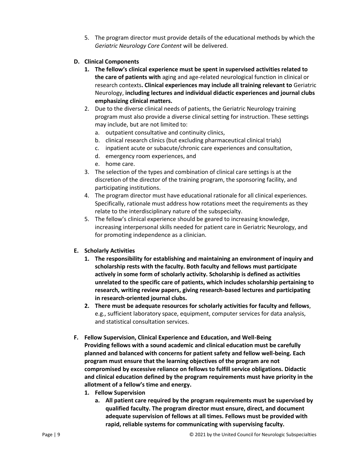- 5. The program director must provide details of the educational methods by which the *Geriatric Neurology Core Content* will be delivered.
- **D. Clinical Components**
	- **1. The fellow's clinical experience must be spent in supervised activities related to the care of patients with** aging and age-related neurological function in clinical or research contexts**. Clinical experiences may include all training relevant to** Geriatric Neurology, **including lectures and individual didactic experiences and journal clubs emphasizing clinical matters.**
	- 2. Due to the diverse clinical needs of patients, the Geriatric Neurology training program must also provide a diverse clinical setting for instruction. These settings may include, but are not limited to:
		- a. outpatient consultative and continuity clinics,
		- b. clinical research clinics (but excluding pharmaceutical clinical trials)
		- c. inpatient acute or subacute/chronic care experiences and consultation,
		- d. emergency room experiences, and
		- e. home care.
	- 3. The selection of the types and combination of clinical care settings is at the discretion of the director of the training program, the sponsoring facility, and participating institutions.
	- 4. The program director must have educational rationale for all clinical experiences. Specifically, rationale must address how rotations meet the requirements as they relate to the interdisciplinary nature of the subspecialty.
	- 5. The fellow's clinical experience should be geared to increasing knowledge, increasing interpersonal skills needed for patient care in Geriatric Neurology, and for promoting independence as a clinician.
- **E. Scholarly Activities**
	- **1. The responsibility for establishing and maintaining an environment of inquiry and scholarship rests with the faculty. Both faculty and fellows must participate actively in some form of scholarly activity. Scholarship is defined as activities unrelated to the specific care of patients, which includes scholarship pertaining to research, writing review papers, giving research-based lectures and participating in research-oriented journal clubs.**
	- **2. There must be adequate resources for scholarly activities for faculty and fellows**, e.g., sufficient laboratory space, equipment, computer services for data analysis, and statistical consultation services.
- **F. Fellow Supervision, Clinical Experience and Education, and Well-Being Providing fellows with a sound academic and clinical education must be carefully planned and balanced with concerns for patient safety and fellow well-being. Each program must ensure that the learning objectives of the program are not compromised by excessive reliance on fellows to fulfill service obligations. Didactic and clinical education defined by the program requirements must have priority in the allotment of a fellow's time and energy.**
	- **1. Fellow Supervision**
		- **a. All patient care required by the program requirements must be supervised by qualified faculty. The program director must ensure, direct, and document adequate supervision of fellows at all times. Fellows must be provided with rapid, reliable systems for communicating with supervising faculty.**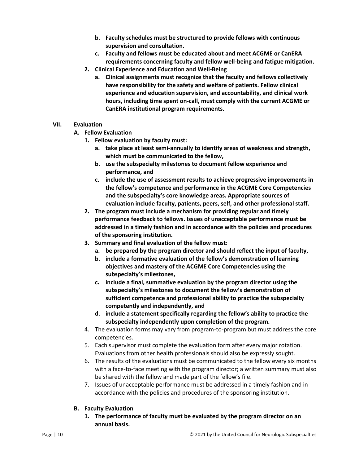- **b. Faculty schedules must be structured to provide fellows with continuous supervision and consultation.**
- **c. Faculty and fellows must be educated about and meet ACGME or CanERA requirements concerning faculty and fellow well-being and fatigue mitigation.**
- **2. Clinical Experience and Education and Well-Being**
	- **a. Clinical assignments must recognize that the faculty and fellows collectively have responsibility for the safety and welfare of patients. Fellow clinical experience and education supervision, and accountability, and clinical work hours, including time spent on-call, must comply with the current ACGME or CanERA institutional program requirements.**
- **VII. Evaluation**
	- **A. Fellow Evaluation**
		- **1. Fellow evaluation by faculty must:**
			- **a. take place at least semi-annually to identify areas of weakness and strength, which must be communicated to the fellow,**
			- **b. use the subspecialty milestones to document fellow experience and performance, and**
			- **c. include the use of assessment results to achieve progressive improvements in the fellow's competence and performance in the ACGME Core Competencies and the subspecialty's core knowledge areas. Appropriate sources of evaluation include faculty, patients, peers, self, and other professional staff.**
		- **2. The program must include a mechanism for providing regular and timely performance feedback to fellows. Issues of unacceptable performance must be addressed in a timely fashion and in accordance with the policies and procedures of the sponsoring institution.**
		- **3. Summary and final evaluation of the fellow must:**
			- **a. be prepared by the program director and should reflect the input of faculty,**
			- **b. include a formative evaluation of the fellow's demonstration of learning objectives and mastery of the ACGME Core Competencies using the subspecialty's milestones,**
			- **c. include a final, summative evaluation by the program director using the subspecialty's milestones to document the fellow's demonstration of sufficient competence and professional ability to practice the subspecialty competently and independently, and**
			- **d. include a statement specifically regarding the fellow's ability to practice the subspecialty independently upon completion of the program.**
		- 4. The evaluation forms may vary from program-to-program but must address the core competencies.
		- 5. Each supervisor must complete the evaluation form after every major rotation. Evaluations from other health professionals should also be expressly sought.
		- 6. The results of the evaluations must be communicated to the fellow every six months with a face-to-face meeting with the program director; a written summary must also be shared with the fellow and made part of the fellow's file.
		- 7. Issues of unacceptable performance must be addressed in a timely fashion and in accordance with the policies and procedures of the sponsoring institution.
	- **B. Faculty Evaluation**
		- **1. The performance of faculty must be evaluated by the program director on an annual basis.**